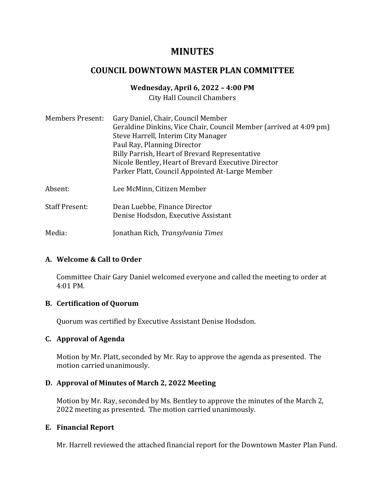# **MINUTES**

# **COUNCIL DOWNTOWN MASTER PLAN COMMITTEE**

# **Wednesday, April 6, 2022 – 4:00 PM**

City Hall Council Chambers

| <b>Members Present:</b> | Gary Daniel, Chair, Council Member<br>Geraldine Dinkins, Vice Chair, Council Member (arrived at 4:09 pm)<br>Steve Harrell, Interim City Manager<br>Paul Ray, Planning Director<br>Billy Parrish, Heart of Brevard Representative<br>Nicole Bentley, Heart of Brevard Executive Director<br>Parker Platt, Council Appointed At-Large Member |
|-------------------------|--------------------------------------------------------------------------------------------------------------------------------------------------------------------------------------------------------------------------------------------------------------------------------------------------------------------------------------------|
| Absent:                 | Lee McMinn, Citizen Member                                                                                                                                                                                                                                                                                                                 |
| <b>Staff Present:</b>   | Dean Luebbe, Finance Director<br>Denise Hodsdon, Executive Assistant                                                                                                                                                                                                                                                                       |
| Media:                  | Jonathan Rich, Transylvania Times                                                                                                                                                                                                                                                                                                          |

### **A. Welcome & Call to Order**

Committee Chair Gary Daniel welcomed everyone and called the meeting to order at 4:01 PM.

### **B. Certification of Quorum**

Quorum was certified by Executive Assistant Denise Hodsdon.

## **C. Approval of Agenda**

Motion by Mr. Platt, seconded by Mr. Ray to approve the agenda as presented. The motion carried unanimously.

## **D. Approval of Minutes of March 2, 2022 Meeting**

Motion by Mr. Ray, seconded by Ms. Bentley to approve the minutes of the March 2, 2022 meeting as presented. The motion carried unanimously.

### **E. Financial Report**

Mr. Harrell reviewed the attached financial report for the Downtown Master Plan Fund.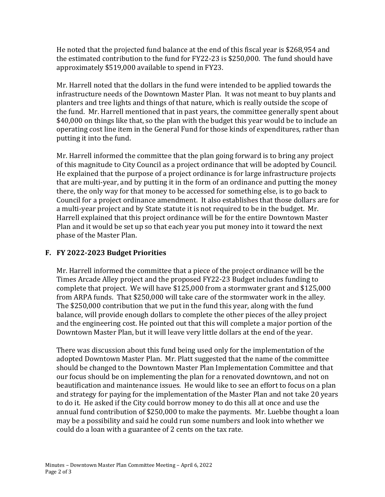He noted that the projected fund balance at the end of this fiscal year is \$268,954 and the estimated contribution to the fund for FY22-23 is \$250,000. The fund should have approximately \$519,000 available to spend in FY23.

Mr. Harrell noted that the dollars in the fund were intended to be applied towards the infrastructure needs of the Downtown Master Plan. It was not meant to buy plants and planters and tree lights and things of that nature, which is really outside the scope of the fund. Mr. Harrell mentioned that in past years, the committee generally spent about \$40,000 on things like that, so the plan with the budget this year would be to include an operating cost line item in the General Fund for those kinds of expenditures, rather than putting it into the fund.

Mr. Harrell informed the committee that the plan going forward is to bring any project of this magnitude to City Council as a project ordinance that will be adopted by Council. He explained that the purpose of a project ordinance is for large infrastructure projects that are multi-year, and by putting it in the form of an ordinance and putting the money there, the only way for that money to be accessed for something else, is to go back to Council for a project ordinance amendment. It also establishes that those dollars are for a multi-year project and by State statute it is not required to be in the budget. Mr. Harrell explained that this project ordinance will be for the entire Downtown Master Plan and it would be set up so that each year you put money into it toward the next phase of the Master Plan.

## **F. FY 2022-2023 Budget Priorities**

Mr. Harrell informed the committee that a piece of the project ordinance will be the Times Arcade Alley project and the proposed FY22-23 Budget includes funding to complete that project. We will have \$125,000 from a stormwater grant and \$125,000 from ARPA funds. That \$250,000 will take care of the stormwater work in the alley. The \$250,000 contribution that we put in the fund this year, along with the fund balance, will provide enough dollars to complete the other pieces of the alley project and the engineering cost. He pointed out that this will complete a major portion of the Downtown Master Plan, but it will leave very little dollars at the end of the year.

There was discussion about this fund being used only for the implementation of the adopted Downtown Master Plan. Mr. Platt suggested that the name of the committee should be changed to the Downtown Master Plan Implementation Committee and that our focus should be on implementing the plan for a renovated downtown, and not on beautification and maintenance issues. He would like to see an effort to focus on a plan and strategy for paying for the implementation of the Master Plan and not take 20 years to do it. He asked if the City could borrow money to do this all at once and use the annual fund contribution of \$250,000 to make the payments. Mr. Luebbe thought a loan may be a possibility and said he could run some numbers and look into whether we could do a loan with a guarantee of 2 cents on the tax rate.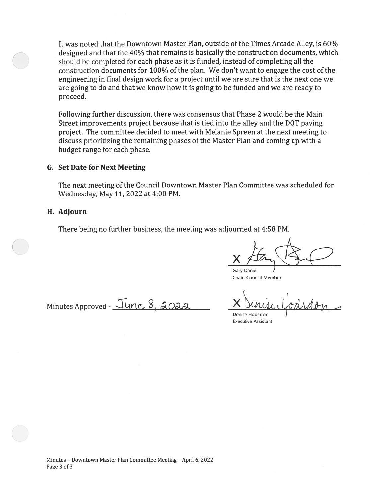It was noted that the Downtown Master Plan, outside of the Times Arcade Alley, is 60% designed and that the 40% that remains is basically the construction documents, which should be completed for each phase as it is funded, instead of completing all the construction documents for 100% of the plan. We don't want to engage the cost of the engineering in final design work for a project until we are sure that is the next one we are going to do and that we know how it is going to be funded and we are ready to proceed.

Following further discussion, there was consensus that Phase 2 would be the Main Street improvements project because that is tied into the alley and the DOT paving project. The committee decided to meet with Melanie Spreen at the next meeting to discuss prioritizing the remaining phases of the Master Plan and coming up with a budget range for each phase.

#### **G. Set Date for Next Meeting**

The next meeting of the Council Downtown Master Plan Committee was scheduled for Wednesday, May 11, 2022 at 4:00 PM.

#### H. Adjourn

There being no further business, the meeting was adjourned at 4:58 PM.

Gary Daniel Chair, Council Member

Minutes Approved - June 8, 2022

Denise Hodsdon **Executive Assistant**